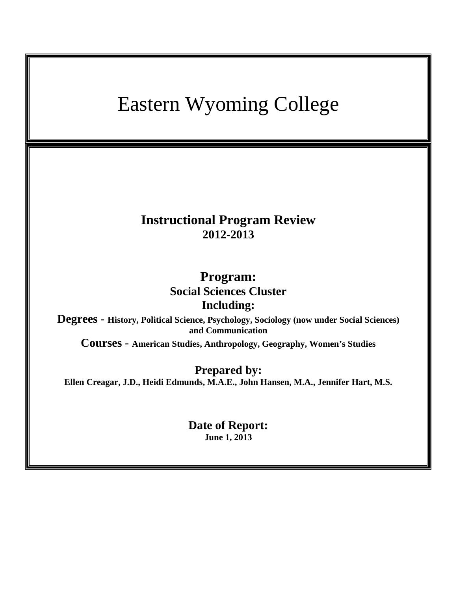# Eastern Wyoming College **Instructional Program Review 2012-2013 Program: Social Sciences Cluster Including: Degrees - History, Political Science, Psychology, Sociology (now under Social Sciences) and Communication Courses - American Studies, Anthropology, Geography, Women's Studies Prepared by: Ellen Creagar, J.D., Heidi Edmunds, M.A.E., John Hansen, M.A., Jennifer Hart, M.S. Date of Report: June 1, 2013**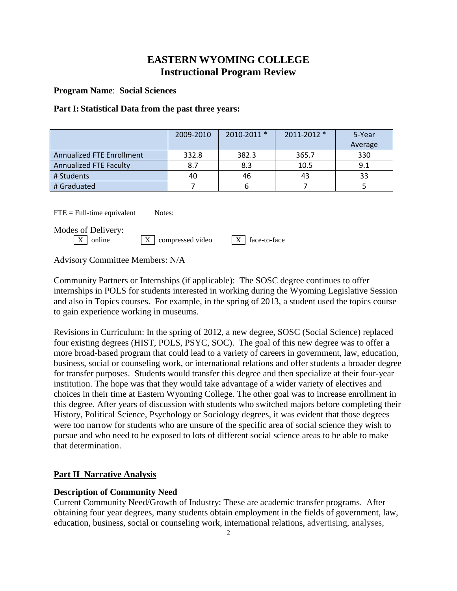# **EASTERN WYOMING COLLEGE Instructional Program Review**

**Program Name**: **Social Sciences**

# **Part I: Statistical Data from the past three years:**

|                                  | 2009-2010 | 2010-2011 * | 2011-2012 * | 5-Year  |
|----------------------------------|-----------|-------------|-------------|---------|
|                                  |           |             |             | Average |
| <b>Annualized FTE Enrollment</b> | 332.8     | 382.3       | 365.7       | 330     |
| Annualized FTE Faculty           | 8.7       | 8.3         | 10.5        | 9.1     |
| # Students                       | 40        | 46          | 43          | 33      |
| # Graduated                      |           |             |             |         |

 $\text{FTE} = \text{Full-time equivalent}$  Notes:

Modes of Delivery:<br> $\boxed{\text{X}}$  online

 $\boxed{X}$  compressed video  $\boxed{X}$  face-to-face

Advisory Committee Members: N/A

Community Partners or Internships (if applicable): The SOSC degree continues to offer internships in POLS for students interested in working during the Wyoming Legislative Session and also in Topics courses. For example, in the spring of 2013, a student used the topics course to gain experience working in museums.

Revisions in Curriculum: In the spring of 2012, a new degree, SOSC (Social Science) replaced four existing degrees (HIST, POLS, PSYC, SOC). The goal of this new degree was to offer a more broad-based program that could lead to a variety of careers in government, law, education, business, social or counseling work, or international relations and offer students a broader degree for transfer purposes. Students would transfer this degree and then specialize at their four-year institution. The hope was that they would take advantage of a wider variety of electives and choices in their time at Eastern Wyoming College. The other goal was to increase enrollment in this degree. After years of discussion with students who switched majors before completing their History, Political Science, Psychology or Sociology degrees, it was evident that those degrees were too narrow for students who are unsure of the specific area of social science they wish to pursue and who need to be exposed to lots of different social science areas to be able to make that determination.

# **Part II Narrative Analysis**

# **Description of Community Need**

Current Community Need/Growth of Industry: These are academic transfer programs. After obtaining four year degrees, many students obtain employment in the fields of government, law, education, business, social or counseling work, international relations, advertising, analyses,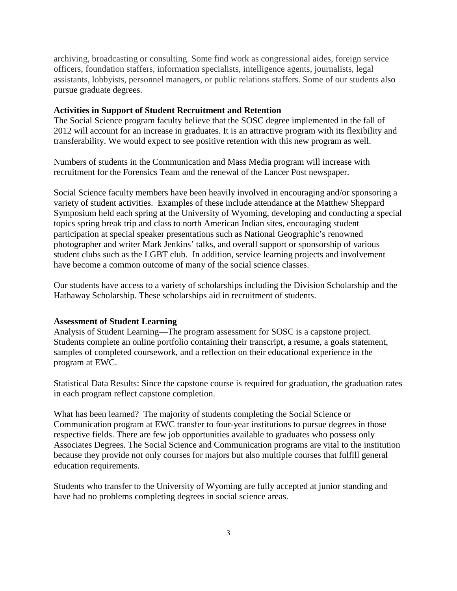archiving, broadcasting or consulting. Some find work as congressional aides, foreign service officers, foundation staffers, information specialists, intelligence agents, journalists, legal assistants, lobbyists, personnel managers, or public relations staffers. Some of our students also pursue graduate degrees.

#### **Activities in Support of Student Recruitment and Retention**

The Social Science program faculty believe that the SOSC degree implemented in the fall of 2012 will account for an increase in graduates. It is an attractive program with its flexibility and transferability. We would expect to see positive retention with this new program as well.

Numbers of students in the Communication and Mass Media program will increase with recruitment for the Forensics Team and the renewal of the Lancer Post newspaper.

Social Science faculty members have been heavily involved in encouraging and/or sponsoring a variety of student activities. Examples of these include attendance at the Matthew Sheppard Symposium held each spring at the University of Wyoming, developing and conducting a special topics spring break trip and class to north American Indian sites, encouraging student participation at special speaker presentations such as National Geographic's renowned photographer and writer Mark Jenkins' talks, and overall support or sponsorship of various student clubs such as the LGBT club. In addition, service learning projects and involvement have become a common outcome of many of the social science classes.

Our students have access to a variety of scholarships including the Division Scholarship and the Hathaway Scholarship. These scholarships aid in recruitment of students.

#### **Assessment of Student Learning**

Analysis of Student Learning—The program assessment for SOSC is a capstone project. Students complete an online portfolio containing their transcript, a resume, a goals statement, samples of completed coursework, and a reflection on their educational experience in the program at EWC.

Statistical Data Results: Since the capstone course is required for graduation, the graduation rates in each program reflect capstone completion.

What has been learned? The majority of students completing the Social Science or Communication program at EWC transfer to four-year institutions to pursue degrees in those respective fields. There are few job opportunities available to graduates who possess only Associates Degrees. The Social Science and Communication programs are vital to the institution because they provide not only courses for majors but also multiple courses that fulfill general education requirements.

Students who transfer to the University of Wyoming are fully accepted at junior standing and have had no problems completing degrees in social science areas.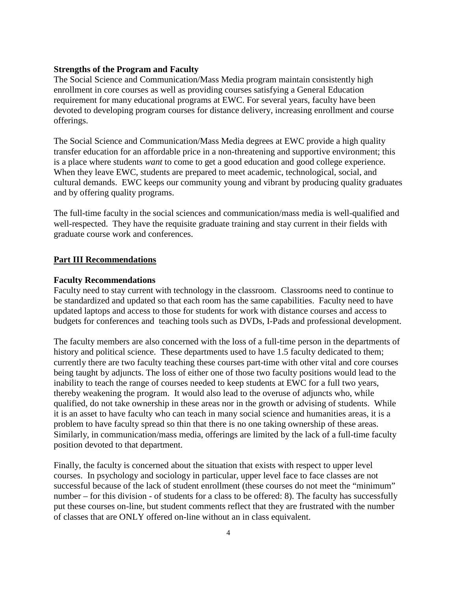#### **Strengths of the Program and Faculty**

The Social Science and Communication/Mass Media program maintain consistently high enrollment in core courses as well as providing courses satisfying a General Education requirement for many educational programs at EWC. For several years, faculty have been devoted to developing program courses for distance delivery, increasing enrollment and course offerings.

The Social Science and Communication/Mass Media degrees at EWC provide a high quality transfer education for an affordable price in a non-threatening and supportive environment; this is a place where students *want* to come to get a good education and good college experience. When they leave EWC, students are prepared to meet academic, technological, social, and cultural demands. EWC keeps our community young and vibrant by producing quality graduates and by offering quality programs.

The full-time faculty in the social sciences and communication/mass media is well-qualified and well-respected. They have the requisite graduate training and stay current in their fields with graduate course work and conferences.

#### **Part III Recommendations**

#### **Faculty Recommendations**

Faculty need to stay current with technology in the classroom. Classrooms need to continue to be standardized and updated so that each room has the same capabilities. Faculty need to have updated laptops and access to those for students for work with distance courses and access to budgets for conferences and teaching tools such as DVDs, I-Pads and professional development.

The faculty members are also concerned with the loss of a full-time person in the departments of history and political science. These departments used to have 1.5 faculty dedicated to them; currently there are two faculty teaching these courses part-time with other vital and core courses being taught by adjuncts. The loss of either one of those two faculty positions would lead to the inability to teach the range of courses needed to keep students at EWC for a full two years, thereby weakening the program. It would also lead to the overuse of adjuncts who, while qualified, do not take ownership in these areas nor in the growth or advising of students. While it is an asset to have faculty who can teach in many social science and humanities areas, it is a problem to have faculty spread so thin that there is no one taking ownership of these areas. Similarly, in communication/mass media, offerings are limited by the lack of a full-time faculty position devoted to that department.

Finally, the faculty is concerned about the situation that exists with respect to upper level courses. In psychology and sociology in particular, upper level face to face classes are not successful because of the lack of student enrollment (these courses do not meet the "minimum" number – for this division - of students for a class to be offered: 8). The faculty has successfully put these courses on-line, but student comments reflect that they are frustrated with the number of classes that are ONLY offered on-line without an in class equivalent.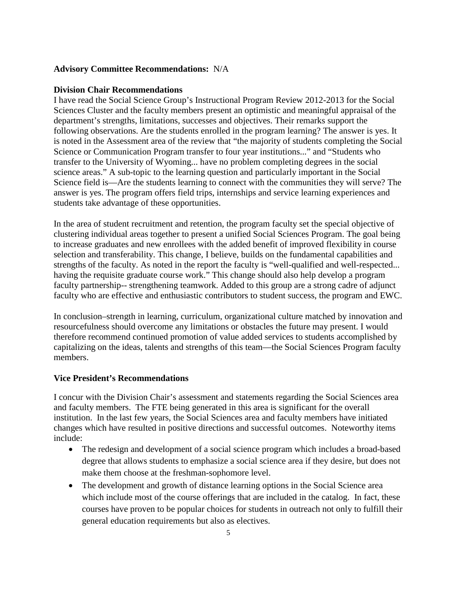### **Advisory Committee Recommendations:** N/A

#### **Division Chair Recommendations**

I have read the Social Science Group's Instructional Program Review 2012-2013 for the Social Sciences Cluster and the faculty members present an optimistic and meaningful appraisal of the department's strengths, limitations, successes and objectives. Their remarks support the following observations. Are the students enrolled in the program learning? The answer is yes. It is noted in the Assessment area of the review that "the majority of students completing the Social Science or Communication Program transfer to four year institutions..." and "Students who transfer to the University of Wyoming... have no problem completing degrees in the social science areas." A sub-topic to the learning question and particularly important in the Social Science field is—Are the students learning to connect with the communities they will serve? The answer is yes. The program offers field trips, internships and service learning experiences and students take advantage of these opportunities.

In the area of student recruitment and retention, the program faculty set the special objective of clustering individual areas together to present a unified Social Sciences Program. The goal being to increase graduates and new enrollees with the added benefit of improved flexibility in course selection and transferability. This change, I believe, builds on the fundamental capabilities and strengths of the faculty. As noted in the report the faculty is "well-qualified and well-respected... having the requisite graduate course work." This change should also help develop a program faculty partnership-- strengthening teamwork. Added to this group are a strong cadre of adjunct faculty who are effective and enthusiastic contributors to student success, the program and EWC.

In conclusion–strength in learning, curriculum, organizational culture matched by innovation and resourcefulness should overcome any limitations or obstacles the future may present. I would therefore recommend continued promotion of value added services to students accomplished by capitalizing on the ideas, talents and strengths of this team—the Social Sciences Program faculty members.

# **Vice President's Recommendations**

I concur with the Division Chair's assessment and statements regarding the Social Sciences area and faculty members. The FTE being generated in this area is significant for the overall institution. In the last few years, the Social Sciences area and faculty members have initiated changes which have resulted in positive directions and successful outcomes. Noteworthy items include:

- The redesign and development of a social science program which includes a broad-based degree that allows students to emphasize a social science area if they desire, but does not make them choose at the freshman-sophomore level.
- The development and growth of distance learning options in the Social Science area which include most of the course offerings that are included in the catalog. In fact, these courses have proven to be popular choices for students in outreach not only to fulfill their general education requirements but also as electives.